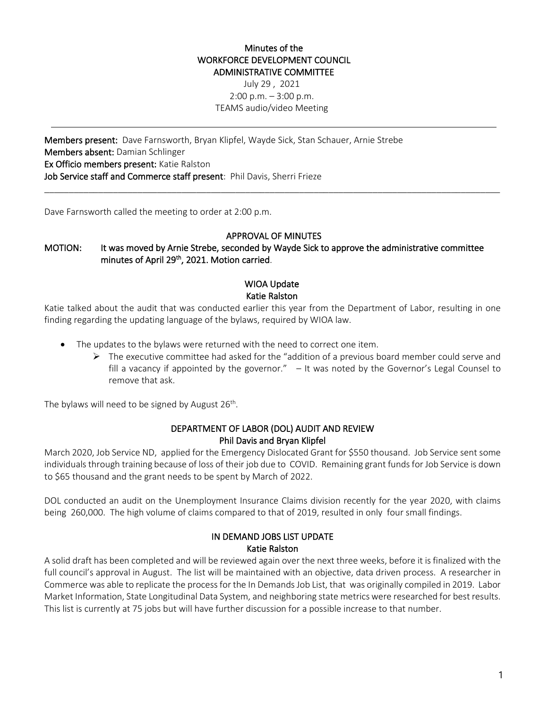### Minutes of the WORKFORCE DEVELOPMENT COUNCIL ADMINISTRATIVE COMMITTEE

July 29 , 2021  $2:00$  p.m.  $-3:00$  p.m. TEAMS audio/video Meeting

Members present: Dave Farnsworth, Bryan Klipfel, Wayde Sick, Stan Schauer, Arnie Strebe Members absent: Damian Schlinger Ex Officio members present: Katie Ralston Job Service staff and Commerce staff present: Phil Davis, Sherri Frieze

Dave Farnsworth called the meeting to order at 2:00 p.m.

## APPROVAL OF MINUTES

\_\_\_\_\_\_\_\_\_\_\_\_\_\_\_\_\_\_\_\_\_\_\_\_\_\_\_\_\_\_\_\_\_\_\_\_\_\_\_\_\_\_\_\_\_\_\_\_\_\_\_\_\_\_\_\_\_\_\_\_\_\_\_\_\_\_\_\_\_\_\_\_\_\_\_\_\_\_\_\_\_\_\_\_\_\_\_\_\_\_\_\_\_

MOTION: It was moved by Arnie Strebe, seconded by Wayde Sick to approve the administrative committee minutes of April 29<sup>th</sup>, 2021. Motion carried.

### WIOA Update Katie Ralston

Katie talked about the audit that was conducted earlier this year from the Department of Labor, resulting in one finding regarding the updating language of the bylaws, required by WIOA law.

- The updates to the bylaws were returned with the need to correct one item.
	- $\triangleright$  The executive committee had asked for the "addition of a previous board member could serve and fill a vacancy if appointed by the governor."  $-$  It was noted by the Governor's Legal Counsel to remove that ask.

The bylaws will need to be signed by August  $26<sup>th</sup>$ .

## DEPARTMENT OF LABOR (DOL) AUDIT AND REVIEW Phil Davis and Bryan Klipfel

March 2020, Job Service ND, applied for the Emergency Dislocated Grant for \$550 thousand. Job Service sent some individuals through training because of loss of their job due to COVID. Remaining grant funds for Job Service is down to \$65 thousand and the grant needs to be spent by March of 2022.

DOL conducted an audit on the Unemployment Insurance Claims division recently for the year 2020, with claims being 260,000. The high volume of claims compared to that of 2019, resulted in only four small findings.

# IN DEMAND JOBS LIST UPDATE Katie Ralston

A solid draft has been completed and will be reviewed again over the next three weeks, before it is finalized with the full council's approval in August. The list will be maintained with an objective, data driven process. A researcher in Commerce was able to replicate the process for the In Demands Job List, that was originally compiled in 2019. Labor Market Information, State Longitudinal Data System, and neighboring state metrics were researched for best results. This list is currently at 75 jobs but will have further discussion for a possible increase to that number.